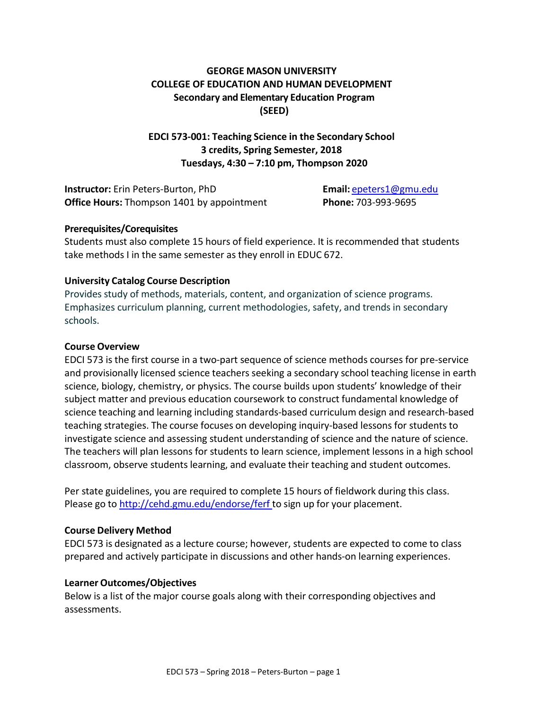# **GEORGE MASON UNIVERSITY COLLEGE OF EDUCATION AND HUMAN DEVELOPMENT Secondary and Elementary Education Program (SEED)**

## **EDCI 573-001: Teaching Science in the Secondary School 3 credits, Spring Semester, 2018 Tuesdays, 4:30 – 7:10 pm, Thompson 2020**

**Instructor:** Erin Peters-Burton, PhD **Email:** [epeters1@gmu.edu](mailto:epeters1@gmu.edu) **Office Hours:** Thompson 1401 by appointment **Phone:** 703-993-9695

### **Prerequisites/Corequisites**

Students must also complete 15 hours of field experience. It is recommended that students take methods I in the same semester as they enroll in EDUC 672.

#### **University Catalog Course Description**

Provides study of methods, materials, content, and organization of science programs. Emphasizes curriculum planning, current methodologies, safety, and trends in secondary schools.

#### **Course Overview**

EDCI 573 is the first course in a two-part sequence of science methods courses for pre-service and provisionally licensed science teachers seeking a secondary school teaching license in earth science, biology, chemistry, or physics. The course builds upon students' knowledge of their subject matter and previous education coursework to construct fundamental knowledge of science teaching and learning including standards-based curriculum design and research-based teaching strategies. The course focuses on developing inquiry-based lessons for students to investigate science and assessing student understanding of science and the nature of science. The teachers will plan lessons for students to learn science, implement lessons in a high school classroom, observe students learning, and evaluate their teaching and student outcomes.

Per state guidelines, you are required to complete 15 hours of fieldwork during this class. Please go to <http://cehd.gmu.edu/endorse/ferf> to sign up for your placement.

### **Course Delivery Method**

EDCI 573 is designated as a lecture course; however, students are expected to come to class prepared and actively participate in discussions and other hands-on learning experiences.

### **Learner Outcomes/Objectives**

Below is a list of the major course goals along with their corresponding objectives and assessments.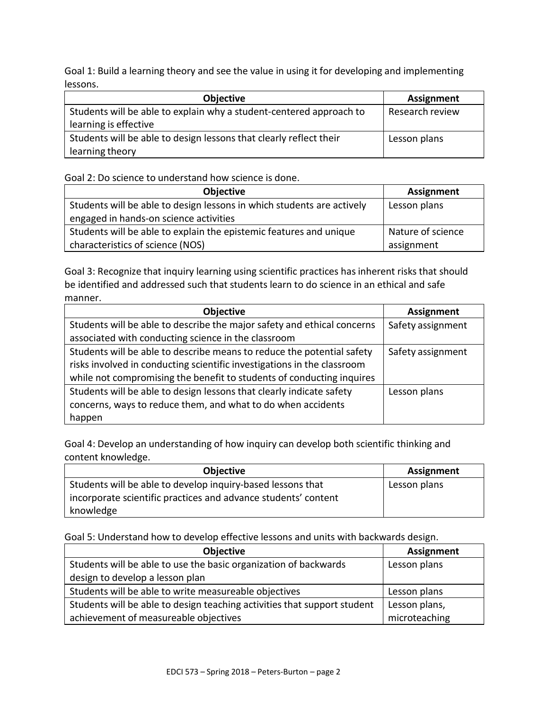Goal 1: Build a learning theory and see the value in using it for developing and implementing lessons.

| <b>Objective</b>                                                    | <b>Assignment</b> |
|---------------------------------------------------------------------|-------------------|
| Students will be able to explain why a student-centered approach to | Research review   |
| learning is effective                                               |                   |
| Students will be able to design lessons that clearly reflect their  | Lesson plans      |
| learning theory                                                     |                   |

Goal 2: Do science to understand how science is done.

| <b>Objective</b>                                                       | <b>Assignment</b> |
|------------------------------------------------------------------------|-------------------|
| Students will be able to design lessons in which students are actively | Lesson plans      |
| engaged in hands-on science activities                                 |                   |
| Students will be able to explain the epistemic features and unique     | Nature of science |
| characteristics of science (NOS)                                       | assignment        |

Goal 3: Recognize that inquiry learning using scientific practices has inherent risks that should be identified and addressed such that students learn to do science in an ethical and safe manner.

| <b>Objective</b>                                                        | <b>Assignment</b> |
|-------------------------------------------------------------------------|-------------------|
| Students will be able to describe the major safety and ethical concerns | Safety assignment |
| associated with conducting science in the classroom                     |                   |
| Students will be able to describe means to reduce the potential safety  | Safety assignment |
| risks involved in conducting scientific investigations in the classroom |                   |
| while not compromising the benefit to students of conducting inquires   |                   |
| Students will be able to design lessons that clearly indicate safety    | Lesson plans      |
| concerns, ways to reduce them, and what to do when accidents            |                   |
| happen                                                                  |                   |

Goal 4: Develop an understanding of how inquiry can develop both scientific thinking and content knowledge.

| <b>Objective</b>                                               | Assignment   |
|----------------------------------------------------------------|--------------|
| Students will be able to develop inquiry-based lessons that    | Lesson plans |
| incorporate scientific practices and advance students' content |              |
| knowledge                                                      |              |

Goal 5: Understand how to develop effective lessons and units with backwards design.

| Objective                                                                | <b>Assignment</b> |
|--------------------------------------------------------------------------|-------------------|
| Students will be able to use the basic organization of backwards         | Lesson plans      |
| design to develop a lesson plan                                          |                   |
| Students will be able to write measureable objectives                    | Lesson plans      |
| Students will be able to design teaching activities that support student | Lesson plans,     |
| achievement of measureable objectives                                    | microteaching     |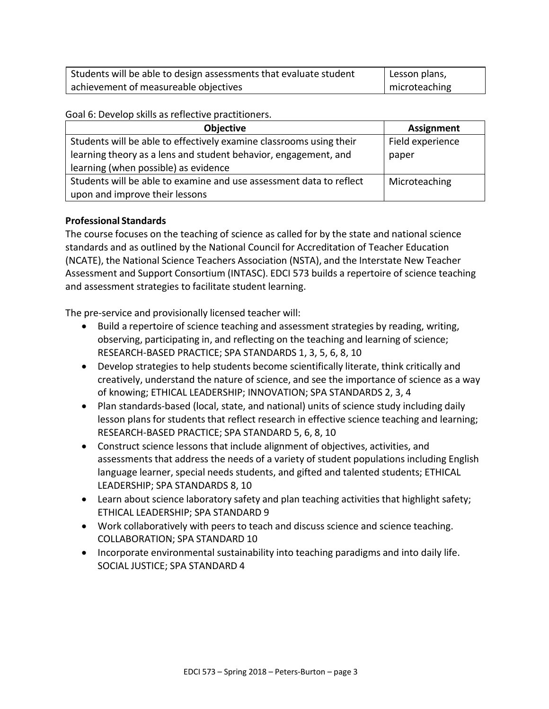| Students will be able to design assessments that evaluate student | Lesson plans, |
|-------------------------------------------------------------------|---------------|
| achievement of measureable objectives                             | microteaching |

Goal 6: Develop skills as reflective practitioners.

| <b>Objective</b>                                                    | <b>Assignment</b> |
|---------------------------------------------------------------------|-------------------|
| Students will be able to effectively examine classrooms using their | Field experience  |
| learning theory as a lens and student behavior, engagement, and     | paper             |
| learning (when possible) as evidence                                |                   |
| Students will be able to examine and use assessment data to reflect | Microteaching     |
| upon and improve their lessons                                      |                   |

## **Professional Standards**

The course focuses on the teaching of science as called for by the state and national science standards and as outlined by the National Council for Accreditation of Teacher Education (NCATE), the National Science Teachers Association (NSTA), and the Interstate New Teacher Assessment and Support Consortium (INTASC). EDCI 573 builds a repertoire of science teaching and assessment strategies to facilitate student learning.

The pre-service and provisionally licensed teacher will:

- Build a repertoire of science teaching and assessment strategies by reading, writing, observing, participating in, and reflecting on the teaching and learning of science; RESEARCH-BASED PRACTICE; SPA STANDARDS 1, 3, 5, 6, 8, 10
- Develop strategies to help students become scientifically literate, think critically and creatively, understand the nature of science, and see the importance of science as a way of knowing; ETHICAL LEADERSHIP; INNOVATION; SPA STANDARDS 2, 3, 4
- Plan standards-based (local, state, and national) units of science study including daily lesson plans for students that reflect research in effective science teaching and learning; RESEARCH-BASED PRACTICE; SPA STANDARD 5, 6, 8, 10
- Construct science lessons that include alignment of objectives, activities, and assessments that address the needs of a variety of student populations including English language learner, special needs students, and gifted and talented students; ETHICAL LEADERSHIP; SPA STANDARDS 8, 10
- Learn about science laboratory safety and plan teaching activities that highlight safety; ETHICAL LEADERSHIP; SPA STANDARD 9
- Work collaboratively with peers to teach and discuss science and science teaching. COLLABORATION; SPA STANDARD 10
- Incorporate environmental sustainability into teaching paradigms and into daily life. SOCIAL JUSTICE; SPA STANDARD 4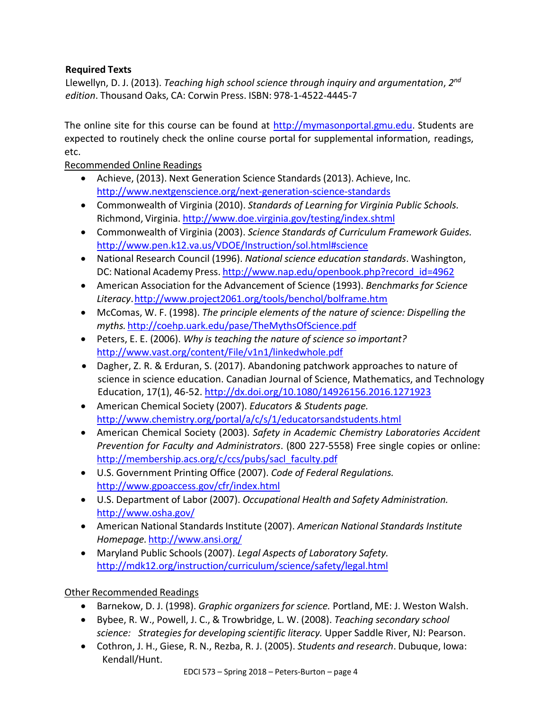# **Required Texts**

Llewellyn, D. J. (2013). *Teaching high school science through inquiry and argumentation*, *2 nd edition*. Thousand Oaks, CA: Corwin Press. ISBN: 978-1-4522-4445-7

The online site for this course can be found at [http://mymasonportal.gmu.edu.](http://mymasonportal.gmu.edu/) Students are expected to routinely check the online course portal for supplemental information, readings, etc.

Recommended Online Readings

- Achieve, (2013). Next Generation Science Standards (2013). Achieve, Inc. <http://www.nextgenscience.org/next-generation-science-standards>
- Commonwealth of Virginia (2010). *Standards of Learning for Virginia Public Schools.* Richmond, Virginia. <http://www.doe.virginia.gov/testing/index.shtml>
- Commonwealth of Virginia (2003). *Science Standards of Curriculum Framework Guides.* <http://www.pen.k12.va.us/VDOE/Instruction/sol.html#science>
- National Research Council (1996). *National science education standards*. Washington, DC: National Academy Press. [http://www.nap.edu/openbook.php?record\\_id=4962](http://www.nap.edu/openbook.php?record_id=4962)
- American Association for the Advancement of Science (1993). *Benchmarks for Science Literacy*[.http://www.project2061.org/tools/benchol/bolframe.htm](http://www.project2061.org/tools/benchol/bolframe.htm)
- McComas, W. F. (1998). *The principle elements of the nature of science: Dispelling the myths.* <http://coehp.uark.edu/pase/TheMythsOfScience.pdf>
- Peters, E. E. (2006). *Why is teaching the nature of science so important?* <http://www.vast.org/content/File/v1n1/linkedwhole.pdf>
- Dagher, Z. R. & Erduran, S. (2017). Abandoning patchwork approaches to nature of science in science education. Canadian Journal of Science, Mathematics, and Technology Education, 17(1), 46-52.<http://dx.doi.org/10.1080/14926156.2016.1271923>
- American Chemical Society (2007). *Educators & Students page.* <http://www.chemistry.org/portal/a/c/s/1/educatorsandstudents.html>
- American Chemical Society (2003). *Safety in Academic Chemistry Laboratories Accident Prevention for Faculty and Administrators*. (800 227-5558) Free single copies or online: [http://membership.acs.org/c/ccs/pubs/sacl\\_faculty.pdf](http://membership.acs.org/c/ccs/pubs/sacl_faculty.pdf)
- U.S. Government Printing Office (2007). *Code of Federal Regulations.* <http://www.gpoaccess.gov/cfr/index.html>
- U.S. Department of Labor (2007). *Occupational Health and Safety Administration.* <http://www.osha.gov/>
- American National Standards Institute (2007). *American National Standards Institute Homepage.* <http://www.ansi.org/>
- Maryland Public Schools(2007). *Legal Aspects of Laboratory Safety.* <http://mdk12.org/instruction/curriculum/science/safety/legal.html>

# Other Recommended Readings

- Barnekow, D. J. (1998). *Graphic organizers for science.* Portland, ME: J. Weston Walsh.
- Bybee, R. W., Powell, J. C., & Trowbridge, L. W. (2008). *Teaching secondary school science: Strategies for developing scientific literacy.* Upper Saddle River, NJ: Pearson.
- Cothron, J. H., Giese, R. N., Rezba, R. J. (2005). *Students and research*. Dubuque, Iowa: Kendall/Hunt.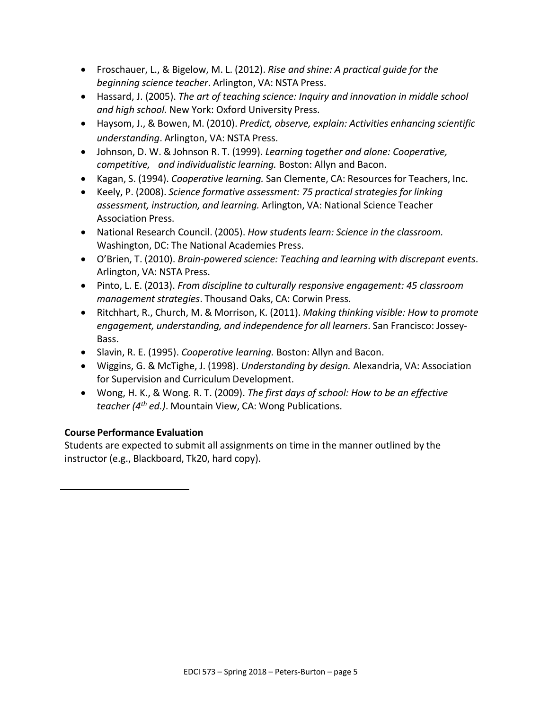- Froschauer, L., & Bigelow, M. L. (2012). *Rise and shine: A practical guide for the beginning science teacher*. Arlington, VA: NSTA Press.
- Hassard, J. (2005). *The art of teaching science: Inquiry and innovation in middle school and high school.* New York: Oxford University Press.
- Haysom, J., & Bowen, M. (2010). *Predict, observe, explain: Activities enhancing scientific understanding*. Arlington, VA: NSTA Press.
- Johnson, D. W. & Johnson R. T. (1999). *Learning together and alone: Cooperative, competitive, and individualistic learning.* Boston: Allyn and Bacon.
- Kagan, S. (1994). *Cooperative learning.* San Clemente, CA: Resourcesfor Teachers, Inc.
- Keely, P. (2008). *Science formative assessment: 75 practical strategies for linking assessment, instruction, and learning.* Arlington, VA: National Science Teacher Association Press.
- National Research Council. (2005). *How students learn: Science in the classroom.* Washington, DC: The National Academies Press.
- O'Brien, T. (2010). *Brain-powered science: Teaching and learning with discrepant events*. Arlington, VA: NSTA Press.
- Pinto, L. E. (2013). *From discipline to culturally responsive engagement: 45 classroom management strategies*. Thousand Oaks, CA: Corwin Press.
- Ritchhart, R., Church, M. & Morrison, K. (2011). *Making thinking visible: How to promote engagement, understanding, and independence for all learners*. San Francisco: Jossey-Bass.
- Slavin, R. E. (1995). *Cooperative learning.* Boston: Allyn and Bacon.
- Wiggins, G. & McTighe, J. (1998). *Understanding by design.* Alexandria, VA: Association for Supervision and Curriculum Development.
- Wong, H. K., & Wong. R. T. (2009). *The first days of school: How to be an effective teacher (4th ed.)*. Mountain View, CA: Wong Publications.

# **Course Performance Evaluation**

Students are expected to submit all assignments on time in the manner outlined by the instructor (e.g., Blackboard, Tk20, hard copy).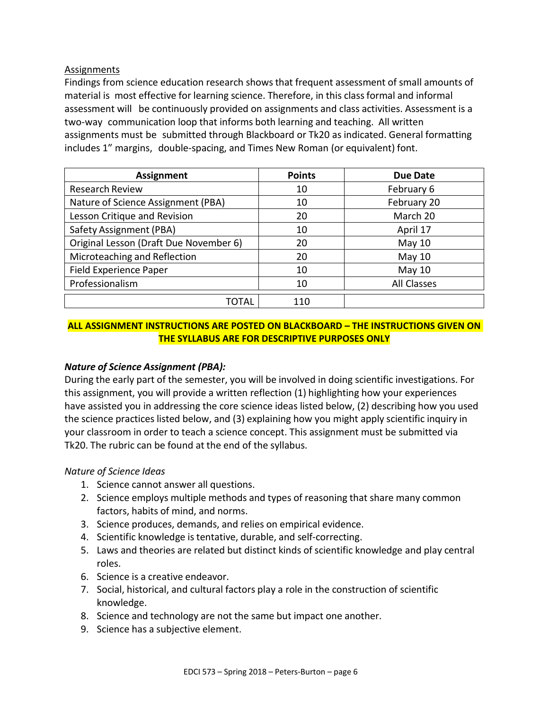### Assignments

Findings from science education research shows that frequent assessment of small amounts of material is most effective for learning science. Therefore, in this classformal and informal assessment will be continuously provided on assignments and class activities. Assessment is a two-way communication loop that informs both learning and teaching. All written assignments must be submitted through Blackboard or Tk20 as indicated. General formatting includes 1" margins, double-spacing, and Times New Roman (or equivalent) font.

| <b>Assignment</b>                      | <b>Points</b> | <b>Due Date</b> |
|----------------------------------------|---------------|-----------------|
| <b>Research Review</b>                 | 10            | February 6      |
| Nature of Science Assignment (PBA)     | 10            | February 20     |
| Lesson Critique and Revision           | 20            | March 20        |
| Safety Assignment (PBA)                | 10            | April 17        |
| Original Lesson (Draft Due November 6) | 20            | May 10          |
| Microteaching and Reflection           | 20            | May $10$        |
| Field Experience Paper                 | 10            | May 10          |
| Professionalism                        | 10            | All Classes     |
| ΤΟΤΑΙ                                  | 110           |                 |

## **ALL ASSIGNMENT INSTRUCTIONS ARE POSTED ON BLACKBOARD – THE INSTRUCTIONS GIVEN ON THE SYLLABUS ARE FOR DESCRIPTIVE PURPOSES ONLY**

### *Nature of Science Assignment (PBA):*

During the early part of the semester, you will be involved in doing scientific investigations. For this assignment, you will provide a written reflection (1) highlighting how your experiences have assisted you in addressing the core science ideas listed below, (2) describing how you used the science practices listed below, and (3) explaining how you might apply scientific inquiry in your classroom in order to teach a science concept. This assignment must be submitted via Tk20. The rubric can be found at the end of the syllabus.

### *Nature of Science Ideas*

- 1. Science cannot answer all questions.
- 2. Science employs multiple methods and types of reasoning that share many common factors, habits of mind, and norms.
- 3. Science produces, demands, and relies on empirical evidence.
- 4. Scientific knowledge istentative, durable, and self-correcting.
- 5. Laws and theories are related but distinct kinds of scientific knowledge and play central roles.
- 6. Science is a creative endeavor.
- 7. Social, historical, and cultural factors play a role in the construction of scientific knowledge.
- 8. Science and technology are not the same but impact one another.
- 9. Science has a subjective element.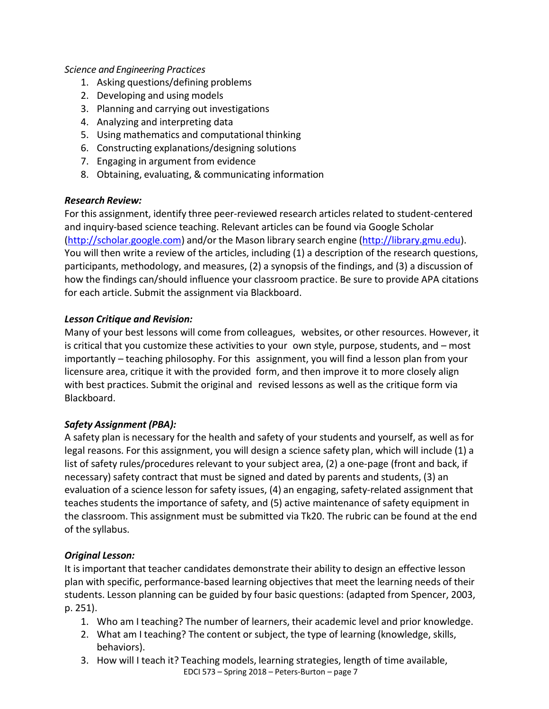## *Science and Engineering Practices*

- 1. Asking questions/defining problems
- 2. Developing and using models
- 3. Planning and carrying out investigations
- 4. Analyzing and interpreting data
- 5. Using mathematics and computational thinking
- 6. Constructing explanations/designing solutions
- 7. Engaging in argument from evidence
- 8. Obtaining, evaluating, & communicating information

### *Research Review:*

For this assignment, identify three peer-reviewed research articles related to student-centered and inquiry-based science teaching. Relevant articles can be found via Google Scholar [\(http://scholar.google.com\)](http://scholar.google.com/) and/or the Mason library search engine [\(http://library.gmu.edu\)](http://library.gmu.edu/). You will then write a review of the articles, including (1) a description of the research questions, participants, methodology, and measures, (2) a synopsis of the findings, and (3) a discussion of how the findings can/should influence your classroom practice. Be sure to provide APA citations for each article. Submit the assignment via Blackboard.

### *Lesson Critique and Revision:*

Many of your best lessons will come from colleagues, websites, or other resources. However, it is critical that you customize these activities to your own style, purpose, students, and – most importantly – teaching philosophy. For this assignment, you will find a lesson plan from your licensure area, critique it with the provided form, and then improve it to more closely align with best practices. Submit the original and revised lessons as well as the critique form via Blackboard.

### *Safety Assignment (PBA):*

A safety plan is necessary for the health and safety of your students and yourself, as well as for legal reasons. For this assignment, you will design a science safety plan, which will include (1) a list of safety rules/procedures relevant to your subject area, (2) a one-page (front and back, if necessary) safety contract that must be signed and dated by parents and students, (3) an evaluation of a science lesson for safety issues, (4) an engaging, safety-related assignment that teaches students the importance of safety, and (5) active maintenance of safety equipment in the classroom. This assignment must be submitted via Tk20. The rubric can be found at the end of the syllabus.

### *Original Lesson:*

It is important that teacher candidates demonstrate their ability to design an effective lesson plan with specific, performance-based learning objectivesthat meet the learning needs of their students. Lesson planning can be guided by four basic questions: (adapted from Spencer, 2003, p. 251).

- 1. Who am I teaching? The number of learners, their academic level and prior knowledge.
- 2. What am I teaching? The content or subject, the type of learning (knowledge, skills, behaviors).
- 3. How will I teach it? Teaching models, learning strategies, length of time available,
	- EDCI 573 Spring 2018 Peters-Burton page 7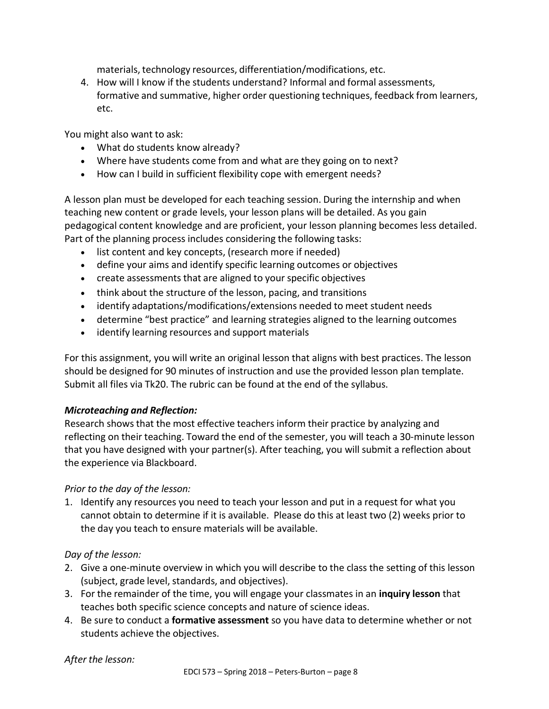materials, technology resources, differentiation/modifications, etc.

4. How will I know if the students understand? Informal and formal assessments, formative and summative, higher order questioning techniques, feedback from learners, etc.

You might also want to ask:

- What do students know already?
- Where have students come from and what are they going on to next?
- How can I build in sufficient flexibility cope with emergent needs?

A lesson plan must be developed for each teaching session. During the internship and when teaching new content or grade levels, your lesson plans will be detailed. As you gain pedagogical content knowledge and are proficient, your lesson planning becomes less detailed. Part of the planning process includes considering the following tasks:

- list content and key concepts, (research more if needed)
- define your aims and identify specific learning outcomes or objectives
- create assessments that are aligned to your specific objectives
- think about the structure of the lesson, pacing, and transitions
- identify adaptations/modifications/extensions needed to meet student needs
- determine "best practice" and learning strategies aligned to the learning outcomes
- identify learning resources and support materials

For this assignment, you will write an original lesson that aligns with best practices. The lesson should be designed for 90 minutes of instruction and use the provided lesson plan template. Submit all files via Tk20. The rubric can be found at the end of the syllabus.

# *Microteaching and Reflection:*

Research showsthat the most effective teachers inform their practice by analyzing and reflecting on their teaching. Toward the end of the semester, you will teach a 30-minute lesson that you have designed with your partner(s). After teaching, you will submit a reflection about the experience via Blackboard.

# *Prior to the day of the lesson:*

1. Identify any resources you need to teach your lesson and put in a request for what you cannot obtain to determine if it is available. Please do this at least two (2) weeks prior to the day you teach to ensure materials will be available.

# *Day of the lesson:*

- 2. Give a one-minute overview in which you will describe to the class the setting of this lesson (subject, grade level, standards, and objectives).
- 3. For the remainder of the time, you will engage your classmates in an **inquiry lesson** that teaches both specific science concepts and nature of science ideas.
- 4. Be sure to conduct a **formative assessment** so you have data to determine whether or not students achieve the objectives.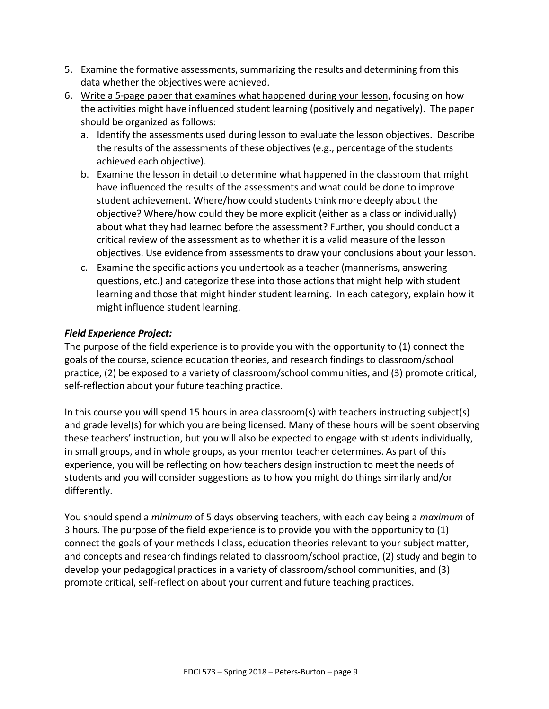- 5. Examine the formative assessments, summarizing the results and determining from this data whether the objectives were achieved.
- 6. Write a 5-page paper that examines what happened during your lesson, focusing on how the activities might have influenced student learning (positively and negatively). The paper should be organized as follows:
	- a. Identify the assessments used during lesson to evaluate the lesson objectives. Describe the results of the assessments of these objectives (e.g., percentage of the students achieved each objective).
	- b. Examine the lesson in detail to determine what happened in the classroom that might have influenced the results of the assessments and what could be done to improve student achievement. Where/how could students think more deeply about the objective? Where/how could they be more explicit (either as a class or individually) about what they had learned before the assessment? Further, you should conduct a critical review of the assessment as to whether it is a valid measure of the lesson objectives. Use evidence from assessments to draw your conclusions about your lesson.
	- c. Examine the specific actions you undertook as a teacher (mannerisms, answering questions, etc.) and categorize these into those actions that might help with student learning and those that might hinder student learning. In each category, explain how it might influence student learning.

# *Field Experience Project:*

The purpose of the field experience is to provide you with the opportunity to (1) connect the goals of the course, science education theories, and research findings to classroom/school practice, (2) be exposed to a variety of classroom/school communities, and (3) promote critical, self-reflection about your future teaching practice.

In this course you will spend 15 hours in area classroom(s) with teachers instructing subject(s) and grade level(s) for which you are being licensed. Many of these hours will be spent observing these teachers' instruction, but you will also be expected to engage with students individually, in small groups, and in whole groups, as your mentor teacher determines. As part of this experience, you will be reflecting on how teachers design instruction to meet the needs of students and you will consider suggestions as to how you might do things similarly and/or differently.

You should spend a *minimum* of 5 days observing teachers, with each day being a *maximum* of 3 hours. The purpose of the field experience is to provide you with the opportunity to (1) connect the goals of your methods I class, education theories relevant to your subject matter, and concepts and research findings related to classroom/school practice, (2) study and begin to develop your pedagogical practices in a variety of classroom/school communities, and (3) promote critical, self-reflection about your current and future teaching practices.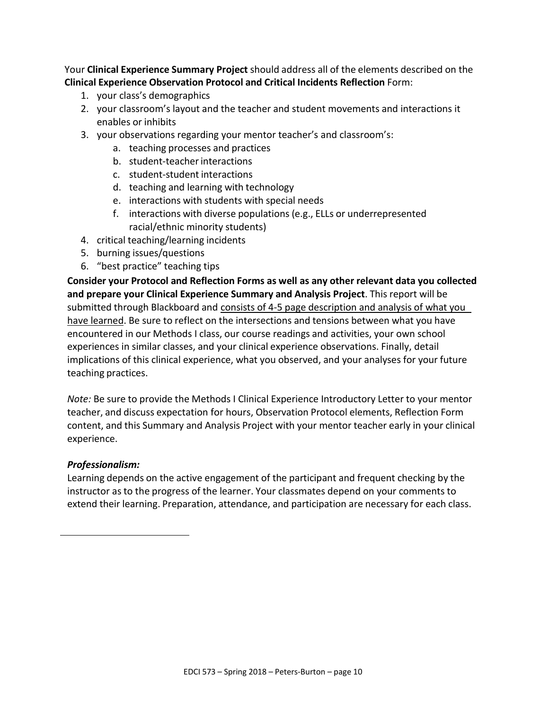Your **Clinical Experience Summary Project** should address all of the elements described on the **Clinical Experience Observation Protocol and Critical Incidents Reflection** Form:

- 1. your class's demographics
- 2. your classroom's layout and the teacher and student movements and interactions it enables or inhibits
- 3. your observations regarding your mentor teacher's and classroom's:
	- a. teaching processes and practices
	- b. student-teacher interactions
	- c. student-student interactions
	- d. teaching and learning with technology
	- e. interactions with students with special needs
	- f. interactions with diverse populations (e.g., ELLs or underrepresented racial/ethnic minority students)
- 4. critical teaching/learning incidents
- 5. burning issues/questions
- 6. "best practice" teaching tips

**Consider your Protocol and Reflection Forms as well as any other relevant data you collected and prepare your Clinical Experience Summary and Analysis Project**. This report will be submitted through Blackboard and consists of 4-5 page description and analysis of what you have learned. Be sure to reflect on the intersections and tensions between what you have encountered in our Methods I class, our course readings and activities, your own school experiences in similar classes, and your clinical experience observations. Finally, detail implications of this clinical experience, what you observed, and your analyses for your future teaching practices.

*Note:* Be sure to provide the Methods I Clinical Experience Introductory Letter to your mentor teacher, and discuss expectation for hours, Observation Protocol elements, Reflection Form content, and this Summary and Analysis Project with your mentor teacher early in your clinical experience.

### *Professionalism:*

Learning depends on the active engagement of the participant and frequent checking by the instructor as to the progress of the learner. Your classmates depend on your comments to extend their learning. Preparation, attendance, and participation are necessary for each class.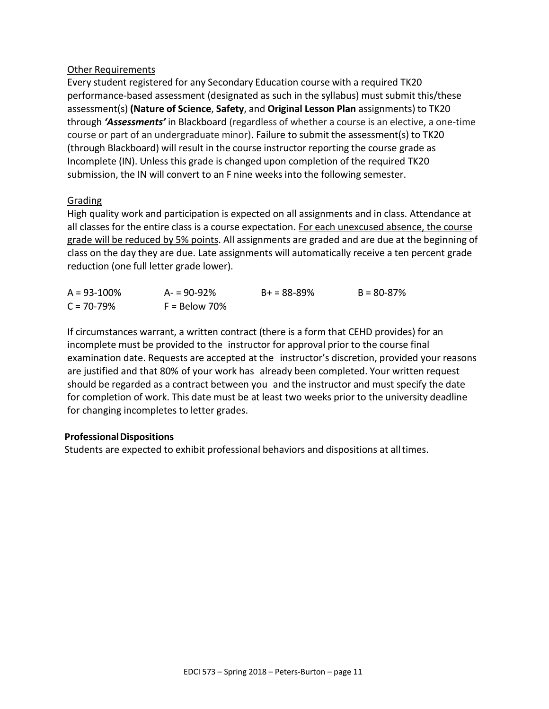### Other Requirements

Every student registered for any Secondary Education course with a required TK20 performance-based assessment (designated as such in the syllabus) must submit this/these assessment(s) **(Nature of Science**, **Safety**, and **Original Lesson Plan** assignments) to TK20 through *'Assessments'* in Blackboard (regardless of whether a course is an elective, a one-time course or part of an undergraduate minor). Failure to submit the assessment(s) to TK20 (through Blackboard) will result in the course instructor reporting the course grade as Incomplete (IN). Unless this grade is changed upon completion of the required TK20 submission, the IN will convert to an F nine weeks into the following semester.

# Grading

High quality work and participation is expected on all assignments and in class. Attendance at all classes for the entire class is a course expectation. For each unexcused absence, the course grade will be reduced by 5% points. All assignments are graded and are due at the beginning of class on the day they are due. Late assignments will automatically receive a ten percent grade reduction (one full letter grade lower).

| $A = 93 - 100\%$ | $A = 90 - 92%$  | $B+ = 88-89%$ | $B = 80 - 87\%$ |
|------------------|-----------------|---------------|-----------------|
| $C = 70 - 79%$   | $F =$ Below 70% |               |                 |

If circumstances warrant, a written contract (there is a form that CEHD provides) for an incomplete must be provided to the instructor for approval prior to the course final examination date. Requests are accepted at the instructor's discretion, provided your reasons are justified and that 80% of your work has already been completed. Your written request should be regarded as a contract between you and the instructor and must specify the date for completion of work. This date must be at least two weeks prior to the university deadline for changing incompletes to letter grades.

### **ProfessionalDispositions**

Students are expected to exhibit professional behaviors and dispositions at alltimes.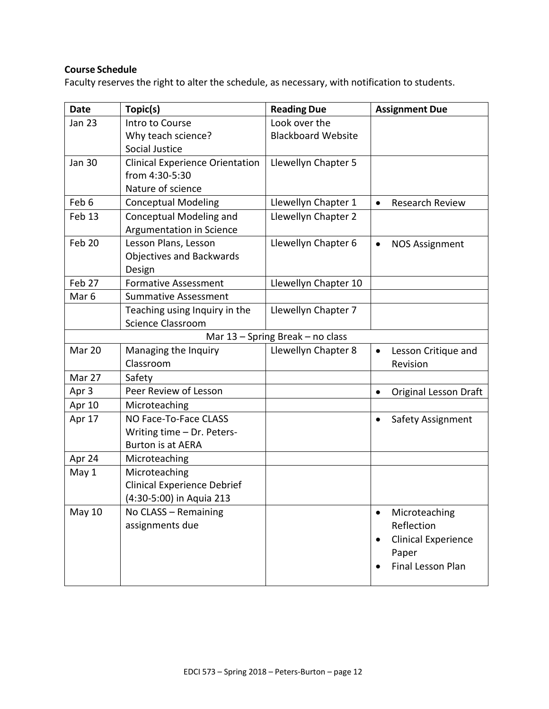## **Course Schedule**

Faculty reserves the right to alter the schedule, as necessary, with notification to students.

| <b>Date</b>      | Topic(s)                               | <b>Reading Due</b>               | <b>Assignment Due</b>               |
|------------------|----------------------------------------|----------------------------------|-------------------------------------|
| <b>Jan 23</b>    | Intro to Course                        | Look over the                    |                                     |
|                  | Why teach science?                     | <b>Blackboard Website</b>        |                                     |
|                  | Social Justice                         |                                  |                                     |
| <b>Jan 30</b>    | <b>Clinical Experience Orientation</b> | Llewellyn Chapter 5              |                                     |
|                  | from 4:30-5:30                         |                                  |                                     |
|                  | Nature of science                      |                                  |                                     |
| Feb 6            | <b>Conceptual Modeling</b>             | Llewellyn Chapter 1              | <b>Research Review</b><br>$\bullet$ |
| Feb 13           | Conceptual Modeling and                | Llewellyn Chapter 2              |                                     |
|                  | Argumentation in Science               |                                  |                                     |
| Feb 20           | Lesson Plans, Lesson                   | Llewellyn Chapter 6              | <b>NOS Assignment</b><br>$\bullet$  |
|                  | <b>Objectives and Backwards</b>        |                                  |                                     |
|                  | Design                                 |                                  |                                     |
| Feb 27           | <b>Formative Assessment</b>            | Llewellyn Chapter 10             |                                     |
| Mar <sub>6</sub> | <b>Summative Assessment</b>            |                                  |                                     |
|                  | Teaching using Inquiry in the          | Llewellyn Chapter 7              |                                     |
|                  | <b>Science Classroom</b>               |                                  |                                     |
|                  |                                        | Mar 13 - Spring Break - no class |                                     |
| Mar 20           | Managing the Inquiry                   | Llewellyn Chapter 8              | Lesson Critique and<br>٠            |
|                  | Classroom                              |                                  | Revision                            |
| Mar 27           | Safety                                 |                                  |                                     |
| Apr 3            | Peer Review of Lesson                  |                                  | <b>Original Lesson Draft</b><br>٠   |
| Apr 10           | Microteaching                          |                                  |                                     |
| Apr 17           | NO Face-To-Face CLASS                  |                                  | Safety Assignment                   |
|                  | Writing time - Dr. Peters-             |                                  |                                     |
|                  | <b>Burton is at AERA</b>               |                                  |                                     |
| Apr 24           | Microteaching                          |                                  |                                     |
| May 1            | Microteaching                          |                                  |                                     |
|                  | <b>Clinical Experience Debrief</b>     |                                  |                                     |
|                  | (4:30-5:00) in Aquia 213               |                                  |                                     |
| <b>May 10</b>    | No CLASS - Remaining                   |                                  | Microteaching                       |
|                  | assignments due                        |                                  | Reflection                          |
|                  |                                        |                                  | <b>Clinical Experience</b>          |
|                  |                                        |                                  | Paper                               |
|                  |                                        |                                  | Final Lesson Plan                   |
|                  |                                        |                                  |                                     |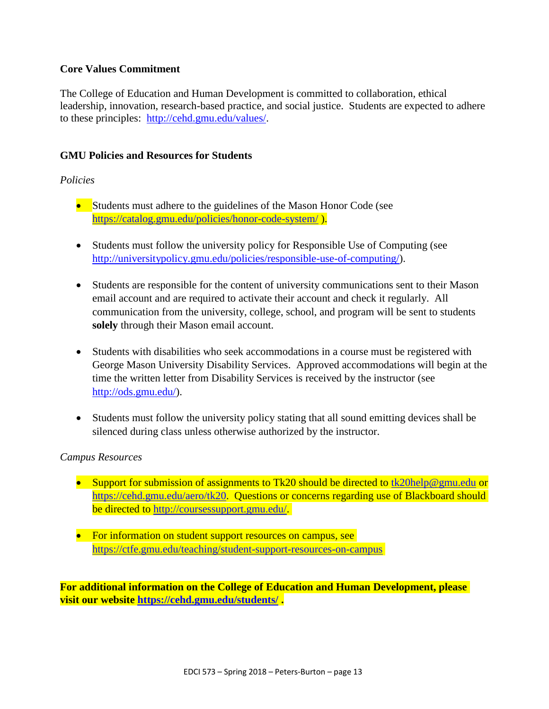## **Core Values Commitment**

The College of Education and Human Development is committed to collaboration, ethical leadership, innovation, research-based practice, and social justice. Students are expected to adhere to these principles: [http://cehd.gmu.edu/values/.](http://cehd.gmu.edu/values/)

## **GMU Policies and Resources for Students**

## *Policies*

- Students must adhere to the guidelines of the Mason Honor Code (see <https://catalog.gmu.edu/policies/honor-code-system/> ).
- Students must follow the university policy for Responsible Use of Computing (see [http://universitypolicy.gmu.edu/policies/responsible-use-of-computing/\)](http://universitypolicy.gmu.edu/policies/responsible-use-of-computing/).
- Students are responsible for the content of university communications sent to their Mason email account and are required to activate their account and check it regularly. All communication from the university, college, school, and program will be sent to students **solely** through their Mason email account.
- Students with disabilities who seek accommodations in a course must be registered with George Mason University Disability Services. Approved accommodations will begin at the time the written letter from Disability Services is received by the instructor (see [http://ods.gmu.edu/\)](http://ods.gmu.edu/).
- Students must follow the university policy stating that all sound emitting devices shall be silenced during class unless otherwise authorized by the instructor.

### *Campus Resources*

- Support for submission of assignments to Tk20 should be directed to  $\frac{tk20\text{help@gmu.edu}}{tk20\text{help@gmu.edu}}$ [https://cehd.gmu.edu/aero/tk20.](https://cehd.gmu.edu/aero/tk20) Questions or concerns regarding use of Blackboard should be directed to [http://coursessupport.gmu.edu/.](http://coursessupport.gmu.edu/)
- For information on student support resources on campus, see <https://ctfe.gmu.edu/teaching/student-support-resources-on-campus>

**For additional information on the College of Education and Human Development, please visit our website<https://cehd.gmu.edu/students/> .**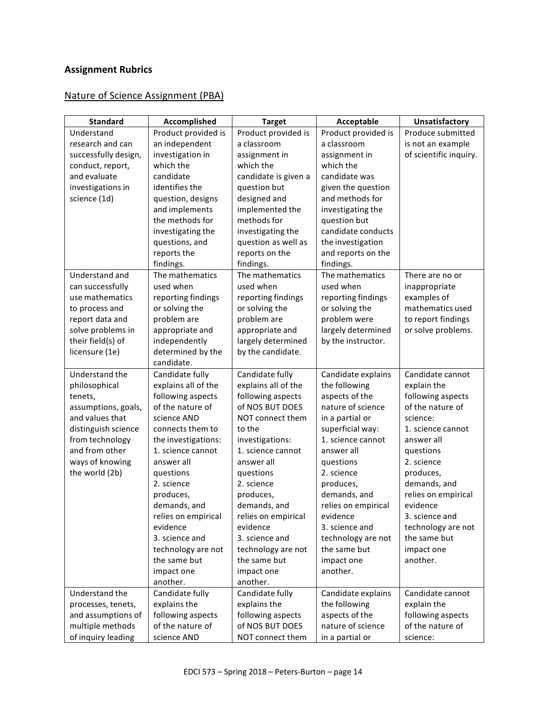# **Assignment Rubrics**

# Nature of Science Assignment (PBA)

| <b>Standard</b>                        | Accomplished                            | <b>Target</b>              | Acceptable                            | Unsatisfactory                  |
|----------------------------------------|-----------------------------------------|----------------------------|---------------------------------------|---------------------------------|
| Understand                             | Product provided is                     | Product provided is        | Product provided is                   | Produce submitted               |
| research and can                       | an independent                          | a classroom                | a classroom                           | is not an example               |
| successfully design,                   | investigation in                        | assignment in              | assignment in                         | of scientific inquiry.          |
| conduct, report,                       | which the                               | which the                  | which the                             |                                 |
| and evaluate                           | candidate                               | candidate is given a       | candidate was                         |                                 |
| investigations in                      | identifies the                          | question but               | given the question                    |                                 |
| science (1d)                           | question, designs                       | designed and               | and methods for                       |                                 |
|                                        | and implements                          | implemented the            | investigating the                     |                                 |
|                                        | the methods for                         | methods for                | question but                          |                                 |
|                                        | investigating the                       | investigating the          | candidate conducts                    |                                 |
|                                        | questions, and                          | question as well as        | the investigation                     |                                 |
|                                        | reports the                             | reports on the             | and reports on the                    |                                 |
|                                        | findings.                               | findings.                  | findings.                             |                                 |
| Understand and                         | The mathematics                         | The mathematics            | The mathematics                       | There are no or                 |
| can successfully                       | used when                               | used when                  | used when                             | inappropriate                   |
| use mathematics                        | reporting findings                      | reporting findings         | reporting findings                    | examples of                     |
| to process and                         | or solving the                          | or solving the             | or solving the                        | mathematics used                |
| report data and                        | problem are                             | problem are                | problem were                          | to report findings              |
| solve problems in                      | appropriate and                         | appropriate and            | largely determined                    | or solve problems.              |
| their field(s) of                      | independently                           | largely determined         | by the instructor.                    |                                 |
| licensure (1e)                         | determined by the                       | by the candidate.          |                                       |                                 |
|                                        | candidate.                              |                            |                                       |                                 |
| Understand the                         | Candidate fully                         | Candidate fully            | Candidate explains                    | Candidate cannot                |
| philosophical                          | explains all of the                     | explains all of the        | the following                         | explain the                     |
| tenets,                                | following aspects                       | following aspects          | aspects of the                        | following aspects               |
| assumptions, goals,                    | of the nature of                        | of NOS BUT DOES            | nature of science                     | of the nature of                |
| and values that                        | science AND                             | NOT connect them<br>to the | in a partial or                       | science:                        |
| distinguish science<br>from technology | connects them to<br>the investigations: | investigations:            | superficial way:<br>1. science cannot | 1. science cannot<br>answer all |
| and from other                         | 1. science cannot                       | 1. science cannot          | answer all                            |                                 |
| ways of knowing                        | answer all                              | answer all                 | questions                             | questions<br>2. science         |
| the world (2b)                         | questions                               | questions                  | 2. science                            | produces,                       |
|                                        | 2. science                              | 2. science                 | produces,                             | demands, and                    |
|                                        | produces,                               | produces,                  | demands, and                          | relies on empirical             |
|                                        | demands, and                            | demands, and               | relies on empirical                   | evidence                        |
|                                        | relies on empirical                     | relies on empirical        | evidence                              | 3. science and                  |
|                                        | evidence                                | evidence                   | 3. science and                        | technology are not              |
|                                        | 3. science and                          | 3. science and             | technology are not                    | the same but                    |
|                                        | technology are not                      | technology are not         | the same but                          | impact one                      |
|                                        | the same but                            | the same but               | impact one                            | another.                        |
|                                        | impact one                              | impact one                 | another.                              |                                 |
|                                        | another.                                | another.                   |                                       |                                 |
| Understand the                         | Candidate fully                         | Candidate fully            | Candidate explains                    | Candidate cannot                |
| processes, tenets,                     | explains the                            | explains the               | the following                         | explain the                     |
| and assumptions of                     | following aspects                       | following aspects          | aspects of the                        | following aspects               |
| multiple methods                       | of the nature of                        | of NOS BUT DOES            | nature of science                     | of the nature of                |
| of inquiry leading                     | science AND                             | NOT connect them           | in a partial or                       | science:                        |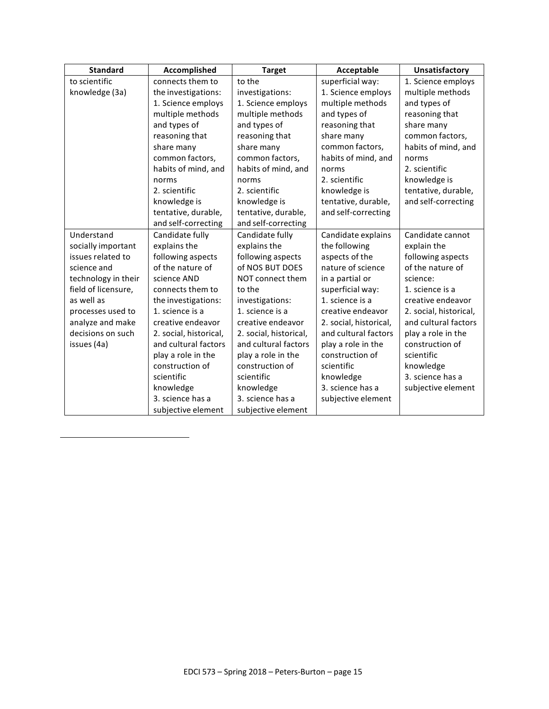| <b>Standard</b>     | Accomplished           | <b>Target</b>          | Acceptable             | <b>Unsatisfactory</b>  |
|---------------------|------------------------|------------------------|------------------------|------------------------|
| to scientific       | connects them to       | to the                 | superficial way:       | 1. Science employs     |
| knowledge (3a)      | the investigations:    | investigations:        | 1. Science employs     | multiple methods       |
|                     | 1. Science employs     | 1. Science employs     | multiple methods       | and types of           |
|                     | multiple methods       | multiple methods       | and types of           | reasoning that         |
|                     | and types of           | and types of           | reasoning that         | share many             |
|                     | reasoning that         | reasoning that         | share many             | common factors,        |
|                     | share many             | share many             | common factors,        | habits of mind, and    |
|                     | common factors,        | common factors,        | habits of mind, and    | norms                  |
|                     | habits of mind, and    | habits of mind, and    | norms                  | 2. scientific          |
|                     | norms                  | norms                  | 2. scientific          | knowledge is           |
|                     | 2. scientific          | 2. scientific          | knowledge is           | tentative, durable,    |
|                     | knowledge is           | knowledge is           | tentative, durable,    | and self-correcting    |
|                     | tentative, durable,    | tentative, durable,    | and self-correcting    |                        |
|                     | and self-correcting    | and self-correcting    |                        |                        |
| Understand          | Candidate fully        | Candidate fully        | Candidate explains     | Candidate cannot       |
| socially important  | explains the           | explains the           | the following          | explain the            |
| issues related to   | following aspects      | following aspects      | aspects of the         | following aspects      |
| science and         | of the nature of       | of NOS BUT DOES        | nature of science      | of the nature of       |
| technology in their | science AND            | NOT connect them       | in a partial or        | science:               |
| field of licensure, | connects them to       | to the                 | superficial way:       | 1. science is a        |
| as well as          | the investigations:    | investigations:        | 1. science is a        | creative endeavor      |
| processes used to   | 1. science is a        | 1. science is a        | creative endeavor      | 2. social, historical, |
| analyze and make    | creative endeavor      | creative endeavor      | 2. social, historical, | and cultural factors   |
| decisions on such   | 2. social, historical, | 2. social, historical, | and cultural factors   | play a role in the     |
| issues (4a)         | and cultural factors   | and cultural factors   | play a role in the     | construction of        |
|                     | play a role in the     | play a role in the     | construction of        | scientific             |
|                     | construction of        | construction of        | scientific             | knowledge              |
|                     | scientific             | scientific             | knowledge              | 3. science has a       |
|                     | knowledge              | knowledge              | 3. science has a       | subjective element     |
|                     | 3. science has a       | 3. science has a       | subjective element     |                        |
|                     | subjective element     | subjective element     |                        |                        |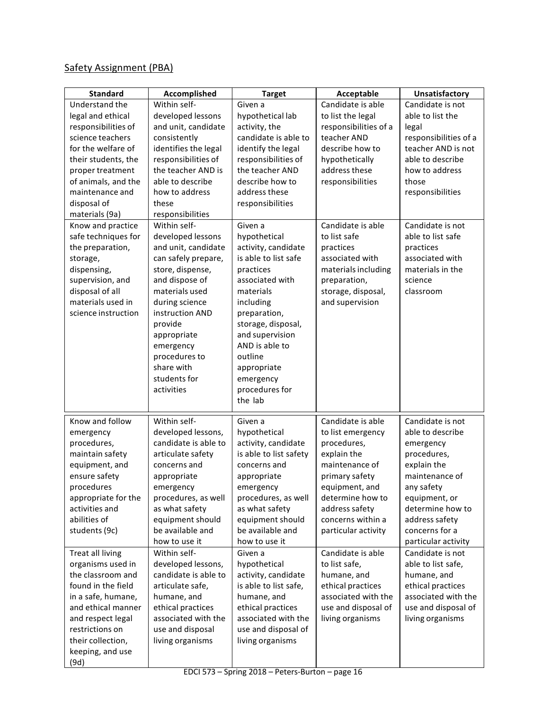# Safety Assignment (PBA)

| <b>Standard</b>     | Accomplished         | <b>Target</b>          | Acceptable            | Unsatisfactory        |
|---------------------|----------------------|------------------------|-----------------------|-----------------------|
| Understand the      | Within self-         | Given a                | Candidate is able     | Candidate is not      |
| legal and ethical   | developed lessons    | hypothetical lab       | to list the legal     | able to list the      |
| responsibilities of | and unit, candidate  | activity, the          | responsibilities of a | legal                 |
| science teachers    | consistently         | candidate is able to   | teacher AND           | responsibilities of a |
| for the welfare of  | identifies the legal | identify the legal     | describe how to       | teacher AND is not    |
| their students, the | responsibilities of  | responsibilities of    | hypothetically        | able to describe      |
| proper treatment    | the teacher AND is   | the teacher AND        | address these         | how to address        |
| of animals, and the | able to describe     | describe how to        | responsibilities      | those                 |
| maintenance and     | how to address       | address these          |                       | responsibilities      |
| disposal of         | these                | responsibilities       |                       |                       |
| materials (9a)      | responsibilities     |                        |                       |                       |
| Know and practice   | Within self-         | Given a                | Candidate is able     | Candidate is not      |
| safe techniques for | developed lessons    | hypothetical           | to list safe          | able to list safe     |
| the preparation,    | and unit, candidate  | activity, candidate    | practices             | practices             |
| storage,            | can safely prepare,  | is able to list safe   | associated with       | associated with       |
| dispensing,         | store, dispense,     | practices              | materials including   | materials in the      |
| supervision, and    | and dispose of       | associated with        | preparation,          | science               |
| disposal of all     | materials used       | materials              | storage, disposal,    | classroom             |
| materials used in   | during science       | including              | and supervision       |                       |
| science instruction | instruction AND      | preparation,           |                       |                       |
|                     | provide              | storage, disposal,     |                       |                       |
|                     | appropriate          | and supervision        |                       |                       |
|                     | emergency            | AND is able to         |                       |                       |
|                     | procedures to        | outline                |                       |                       |
|                     | share with           | appropriate            |                       |                       |
|                     | students for         | emergency              |                       |                       |
|                     | activities           | procedures for         |                       |                       |
|                     |                      | the lab                |                       |                       |
| Know and follow     | Within self-         | Given a                | Candidate is able     | Candidate is not      |
| emergency           | developed lessons,   | hypothetical           | to list emergency     | able to describe      |
| procedures,         | candidate is able to | activity, candidate    | procedures,           | emergency             |
| maintain safety     | articulate safety    | is able to list safety | explain the           | procedures,           |
| equipment, and      | concerns and         | concerns and           | maintenance of        | explain the           |
| ensure safety       | appropriate          | appropriate            | primary safety        | maintenance of        |
| procedures          | emergency            | emergency              | equipment, and        | any safety            |
| appropriate for the | procedures, as well  | procedures, as well    | determine how to      | equipment, or         |
| activities and      | as what safety       | as what safety         | address safety        | determine how to      |
| abilities of        | equipment should     | equipment should       | concerns within a     | address safety        |
| students (9c)       | be available and     | be available and       | particular activity   | concerns for a        |
|                     | how to use it        | how to use it          |                       | particular activity   |
| Treat all living    | Within self-         | Given a                | Candidate is able     | Candidate is not      |
| organisms used in   | developed lessons,   | hypothetical           | to list safe,         | able to list safe,    |
| the classroom and   | candidate is able to | activity, candidate    | humane, and           | humane, and           |
| found in the field  | articulate safe,     | is able to list safe,  | ethical practices     | ethical practices     |
| in a safe, humane,  | humane, and          | humane, and            | associated with the   | associated with the   |
| and ethical manner  | ethical practices    | ethical practices      | use and disposal of   | use and disposal of   |
| and respect legal   | associated with the  | associated with the    | living organisms      | living organisms      |
| restrictions on     | use and disposal     | use and disposal of    |                       |                       |
| their collection,   | living organisms     | living organisms       |                       |                       |
| keeping, and use    |                      |                        |                       |                       |
| (9d)                |                      |                        |                       |                       |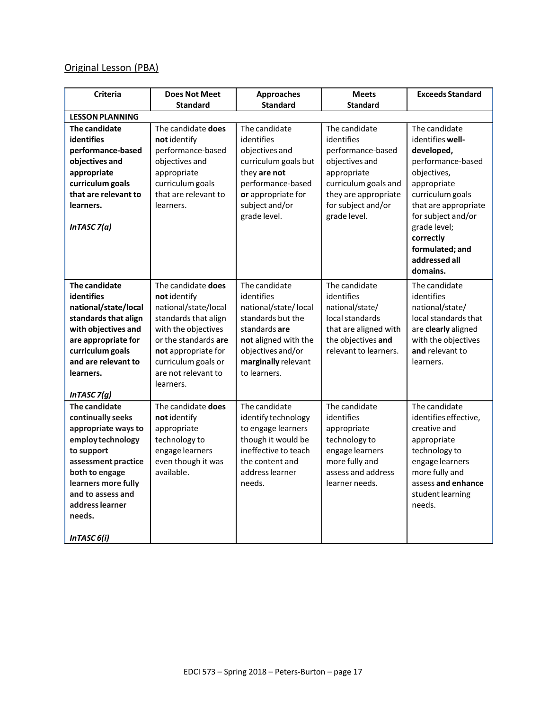# Original Lesson (PBA)

| <b>Criteria</b>                                                                                                                                                                                                               | <b>Does Not Meet</b>                                                                                                                                                                                                | <b>Approaches</b>                                                                                                                                                             | <b>Meets</b>                                                                                                                                                            | <b>Exceeds Standard</b>                                                                                                                                                                                                                           |
|-------------------------------------------------------------------------------------------------------------------------------------------------------------------------------------------------------------------------------|---------------------------------------------------------------------------------------------------------------------------------------------------------------------------------------------------------------------|-------------------------------------------------------------------------------------------------------------------------------------------------------------------------------|-------------------------------------------------------------------------------------------------------------------------------------------------------------------------|---------------------------------------------------------------------------------------------------------------------------------------------------------------------------------------------------------------------------------------------------|
|                                                                                                                                                                                                                               | <b>Standard</b>                                                                                                                                                                                                     | <b>Standard</b>                                                                                                                                                               | <b>Standard</b>                                                                                                                                                         |                                                                                                                                                                                                                                                   |
| <b>LESSON PLANNING</b>                                                                                                                                                                                                        |                                                                                                                                                                                                                     |                                                                                                                                                                               |                                                                                                                                                                         |                                                                                                                                                                                                                                                   |
| The candidate<br><b>identifies</b><br>performance-based<br>objectives and<br>appropriate<br>curriculum goals<br>that are relevant to<br>learners.<br>In TASC $7(a)$                                                           | The candidate does<br>not identify<br>performance-based<br>objectives and<br>appropriate<br>curriculum goals<br>that are relevant to<br>learners.                                                                   | The candidate<br>identifies<br>objectives and<br>curriculum goals but<br>they are not<br>performance-based<br>or appropriate for<br>subject and/or<br>grade level.            | The candidate<br>identifies<br>performance-based<br>objectives and<br>appropriate<br>curriculum goals and<br>they are appropriate<br>for subject and/or<br>grade level. | The candidate<br>identifies well-<br>developed,<br>performance-based<br>objectives,<br>appropriate<br>curriculum goals<br>that are appropriate<br>for subject and/or<br>grade level;<br>correctly<br>formulated; and<br>addressed all<br>domains. |
| The candidate<br>identifies<br>national/state/local<br>standards that align<br>with objectives and<br>are appropriate for<br>curriculum goals<br>and are relevant to<br>learners.<br>In TASC $7(g)$                           | The candidate does<br>not identify<br>national/state/local<br>standards that align<br>with the objectives<br>or the standards are<br>not appropriate for<br>curriculum goals or<br>are not relevant to<br>learners. | The candidate<br>identifies<br>national/state/local<br>standards but the<br>standards are<br>not aligned with the<br>objectives and/or<br>marginally relevant<br>to learners. | The candidate<br>identifies<br>national/state/<br>local standards<br>that are aligned with<br>the objectives and<br>relevant to learners.                               | The candidate<br>identifies<br>national/state/<br>local standards that<br>are clearly aligned<br>with the objectives<br>and relevant to<br>learners.                                                                                              |
| The candidate<br>continually seeks<br>appropriate ways to<br>employ technology<br>to support<br>assessment practice<br>both to engage<br>learners more fully<br>and to assess and<br>address learner<br>needs.<br>InTASC 6(i) | The candidate does<br>not identify<br>appropriate<br>technology to<br>engage learners<br>even though it was<br>available.                                                                                           | The candidate<br>identify technology<br>to engage learners<br>though it would be<br>ineffective to teach<br>the content and<br>address learner<br>needs.                      | The candidate<br>identifies<br>appropriate<br>technology to<br>engage learners<br>more fully and<br>assess and address<br>learner needs.                                | The candidate<br>identifies effective,<br>creative and<br>appropriate<br>technology to<br>engage learners<br>more fully and<br>assess and enhance<br>student learning<br>needs.                                                                   |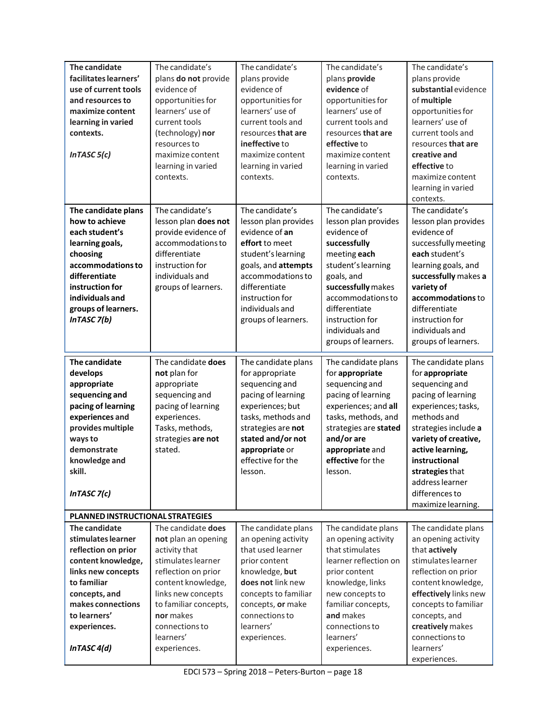| The candidate<br>facilitates learners'<br>use of current tools<br>and resources to<br>maximize content<br>learning in varied<br>contexts.<br>In TASC $5(c)$                                                   | The candidate's<br>plans do not provide<br>evidence of<br>opportunities for<br>learners' use of<br>current tools<br>(technology) nor<br>resources to<br>maximize content<br>learning in varied<br>contexts.                              | The candidate's<br>plans provide<br>evidence of<br>opportunities for<br>learners' use of<br>current tools and<br>resources that are<br>ineffective to<br>maximize content<br>learning in varied<br>contexts.                | The candidate's<br>plans provide<br>evidence of<br>opportunities for<br>learners' use of<br>current tools and<br>resources that are<br>effective to<br>maximize content<br>learning in varied<br>contexts.                                          | The candidate's<br>plans provide<br>substantial evidence<br>of multiple<br>opportunities for<br>learners' use of<br>current tools and<br>resources that are<br>creative and<br>effective to<br>maximize content<br>learning in varied<br>contexts.                                      |  |
|---------------------------------------------------------------------------------------------------------------------------------------------------------------------------------------------------------------|------------------------------------------------------------------------------------------------------------------------------------------------------------------------------------------------------------------------------------------|-----------------------------------------------------------------------------------------------------------------------------------------------------------------------------------------------------------------------------|-----------------------------------------------------------------------------------------------------------------------------------------------------------------------------------------------------------------------------------------------------|-----------------------------------------------------------------------------------------------------------------------------------------------------------------------------------------------------------------------------------------------------------------------------------------|--|
| The candidate plans<br>how to achieve<br>each student's<br>learning goals,<br>choosing<br>accommodations to<br>differentiate<br>instruction for<br>individuals and<br>groups of learners.<br>In TASC $7(b)$   | The candidate's<br>lesson plan does not<br>provide evidence of<br>accommodations to<br>differentiate<br>instruction for<br>individuals and<br>groups of learners.                                                                        | The candidate's<br>lesson plan provides<br>evidence of an<br>effort to meet<br>student's learning<br>goals, and attempts<br>accommodations to<br>differentiate<br>instruction for<br>individuals and<br>groups of learners. | The candidate's<br>lesson plan provides<br>evidence of<br>successfully<br>meeting each<br>student's learning<br>goals, and<br>successfully makes<br>accommodations to<br>differentiate<br>instruction for<br>individuals and<br>groups of learners. | The candidate's<br>lesson plan provides<br>evidence of<br>successfully meeting<br>each student's<br>learning goals, and<br>successfully makes a<br>variety of<br>accommodations to<br>differentiate<br>instruction for<br>individuals and<br>groups of learners.                        |  |
| The candidate<br>develops<br>appropriate<br>sequencing and<br>pacing of learning<br>experiences and<br>provides multiple<br>ways to<br>demonstrate<br>knowledge and<br>skill.<br>In TASC $7(c)$               | The candidate does<br>not plan for<br>appropriate<br>sequencing and<br>pacing of learning<br>experiences.<br>Tasks, methods,<br>strategies are not<br>stated.                                                                            | The candidate plans<br>for appropriate<br>sequencing and<br>pacing of learning<br>experiences; but<br>tasks, methods and<br>strategies are not<br>stated and/or not<br>appropriate or<br>effective for the<br>lesson.       | The candidate plans<br>for appropriate<br>sequencing and<br>pacing of learning<br>experiences; and all<br>tasks, methods, and<br>strategies are stated<br>and/or are<br>appropriate and<br>effective for the<br>lesson.                             | The candidate plans<br>for appropriate<br>sequencing and<br>pacing of learning<br>experiences; tasks,<br>methods and<br>strategies include a<br>variety of creative,<br>active learning,<br>instructional<br>strategies that<br>address learner<br>differences to<br>maximize learning. |  |
| PLANNED INSTRUCTIONAL STRATEGIES                                                                                                                                                                              |                                                                                                                                                                                                                                          |                                                                                                                                                                                                                             |                                                                                                                                                                                                                                                     |                                                                                                                                                                                                                                                                                         |  |
| The candidate<br>stimulates learner<br>reflection on prior<br>content knowledge,<br>links new concepts<br>to familiar<br>concepts, and<br>makes connections<br>to learners'<br>experiences.<br>In TASC $4(d)$ | The candidate does<br>not plan an opening<br>activity that<br>stimulates learner<br>reflection on prior<br>content knowledge,<br>links new concepts<br>to familiar concepts,<br>nor makes<br>connections to<br>learners'<br>experiences. | The candidate plans<br>an opening activity<br>that used learner<br>prior content<br>knowledge, but<br>does not link new<br>concepts to familiar<br>concepts, or make<br>connections to<br>learners'<br>experiences.         | The candidate plans<br>an opening activity<br>that stimulates<br>learner reflection on<br>prior content<br>knowledge, links<br>new concepts to<br>familiar concepts,<br>and makes<br>connections to<br>learners'<br>experiences.                    | The candidate plans<br>an opening activity<br>that actively<br>stimulates learner<br>reflection on prior<br>content knowledge,<br>effectively links new<br>concepts to familiar<br>concepts, and<br>creatively makes<br>connections to<br>learners'<br>experiences.                     |  |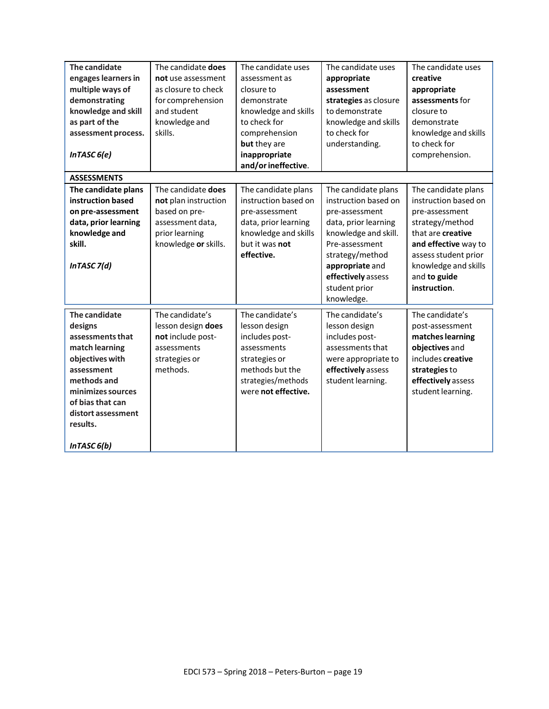| The candidate<br>engages learners in<br>multiple ways of<br>demonstrating<br>knowledge and skill<br>as part of the<br>assessment process.<br>InTASC 6(e) | The candidate does<br>not use assessment<br>as closure to check<br>for comprehension<br>and student<br>knowledge and<br>skills. | The candidate uses<br>assessment as<br>closure to<br>demonstrate<br>knowledge and skills<br>to check for<br>comprehension<br>but they are<br>inappropriate<br>and/or ineffective. | The candidate uses<br>appropriate<br>assessment<br>strategies as closure<br>to demonstrate<br>knowledge and skills<br>to check for<br>understanding. | The candidate uses<br>creative<br>appropriate<br>assessments for<br>closure to<br>demonstrate<br>knowledge and skills<br>to check for<br>comprehension. |
|----------------------------------------------------------------------------------------------------------------------------------------------------------|---------------------------------------------------------------------------------------------------------------------------------|-----------------------------------------------------------------------------------------------------------------------------------------------------------------------------------|------------------------------------------------------------------------------------------------------------------------------------------------------|---------------------------------------------------------------------------------------------------------------------------------------------------------|
| <b>ASSESSMENTS</b>                                                                                                                                       |                                                                                                                                 |                                                                                                                                                                                   |                                                                                                                                                      |                                                                                                                                                         |
| The candidate plans<br>instruction based                                                                                                                 | The candidate does<br>not plan instruction                                                                                      | The candidate plans<br>instruction based on                                                                                                                                       | The candidate plans<br>instruction based on                                                                                                          | The candidate plans<br>instruction based on                                                                                                             |
| on pre-assessment                                                                                                                                        | based on pre-                                                                                                                   | pre-assessment                                                                                                                                                                    | pre-assessment                                                                                                                                       | pre-assessment                                                                                                                                          |
| data, prior learning                                                                                                                                     | assessment data,                                                                                                                | data, prior learning                                                                                                                                                              | data, prior learning                                                                                                                                 | strategy/method                                                                                                                                         |
| knowledge and                                                                                                                                            | prior learning                                                                                                                  | knowledge and skills                                                                                                                                                              | knowledge and skill.                                                                                                                                 | that are creative                                                                                                                                       |
| skill.                                                                                                                                                   | knowledge or skills.                                                                                                            | but it was not                                                                                                                                                                    | Pre-assessment                                                                                                                                       | and effective way to                                                                                                                                    |
| InTASC 7(d)                                                                                                                                              |                                                                                                                                 | effective.                                                                                                                                                                        | strategy/method<br>appropriate and<br>effectively assess<br>student prior<br>knowledge.                                                              | assess student prior<br>knowledge and skills<br>and to guide<br>instruction.                                                                            |
| The candidate                                                                                                                                            | The candidate's                                                                                                                 | The candidate's                                                                                                                                                                   | The candidate's                                                                                                                                      | The candidate's                                                                                                                                         |
| designs                                                                                                                                                  | lesson design does                                                                                                              | lesson design                                                                                                                                                                     | lesson design                                                                                                                                        | post-assessment                                                                                                                                         |
| assessments that<br>match learning                                                                                                                       | not include post-<br>assessments                                                                                                | includes post-<br>assessments                                                                                                                                                     | includes post-<br>assessments that                                                                                                                   | matches learning<br>objectives and                                                                                                                      |
| objectives with                                                                                                                                          | strategies or                                                                                                                   | strategies or                                                                                                                                                                     | were appropriate to                                                                                                                                  | includes creative                                                                                                                                       |
| assessment                                                                                                                                               | methods.                                                                                                                        | methods but the                                                                                                                                                                   | effectively assess                                                                                                                                   | strategies to                                                                                                                                           |
| methods and                                                                                                                                              |                                                                                                                                 | strategies/methods                                                                                                                                                                | student learning.                                                                                                                                    | effectively assess                                                                                                                                      |
| minimizes sources                                                                                                                                        |                                                                                                                                 | were not effective.                                                                                                                                                               |                                                                                                                                                      | student learning.                                                                                                                                       |
| of bias that can<br>distort assessment                                                                                                                   |                                                                                                                                 |                                                                                                                                                                                   |                                                                                                                                                      |                                                                                                                                                         |
| results.                                                                                                                                                 |                                                                                                                                 |                                                                                                                                                                                   |                                                                                                                                                      |                                                                                                                                                         |
|                                                                                                                                                          |                                                                                                                                 |                                                                                                                                                                                   |                                                                                                                                                      |                                                                                                                                                         |
| InTASC 6(b)                                                                                                                                              |                                                                                                                                 |                                                                                                                                                                                   |                                                                                                                                                      |                                                                                                                                                         |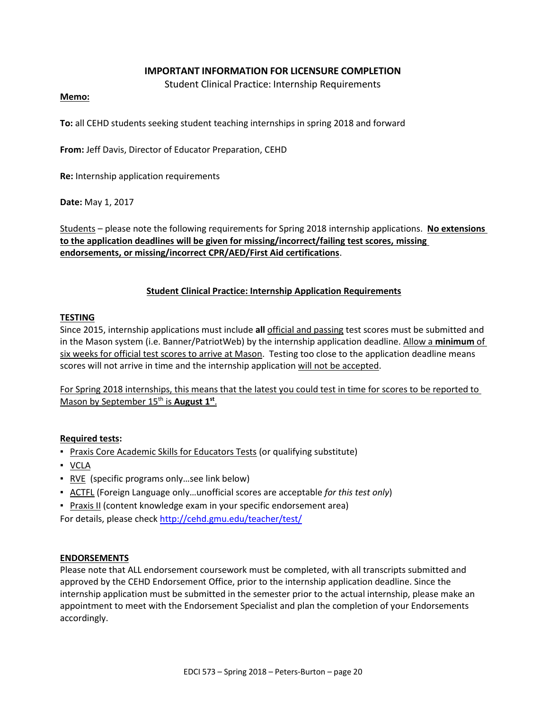#### **IMPORTANT INFORMATION FOR LICENSURE COMPLETION**

Student Clinical Practice: Internship Requirements

#### **Memo:**

**To:** all CEHD students seeking student teaching internships in spring 2018 and forward

**From:** Jeff Davis, Director of Educator Preparation, CEHD

**Re:** Internship application requirements

**Date:** May 1, 2017

Students – please note the following requirements for Spring 2018 internship applications. **No extensions to the application deadlines will be given for missing/incorrect/failing test scores, missing endorsements, or missing/incorrect CPR/AED/First Aid certifications**.

#### **Student Clinical Practice: Internship Application Requirements**

#### **TESTING**

Since 2015, internship applications must include **all** official and passing test scores must be submitted and in the Mason system (i.e. Banner/PatriotWeb) by the internship application deadline. Allow a **minimum** of six weeks for official test scores to arrive at Mason. Testing too close to the application deadline means scores will not arrive in time and the internship application will not be accepted.

For Spring 2018 internships, this means that the latest you could test in time for scores to be reported to Mason by September 15<sup>th</sup> is **August 1**<sup>st</sup>.

#### **Required tests:**

- **Praxis Core Academic Skills for Educators Tests (or qualifying substitute)**
- VCLA
- RVE (specific programs only ... see link below)
- ACTFL (Foreign Language only…unofficial scores are acceptable *for this test only*)
- **Praxis II (content knowledge exam in your specific endorsement area)**

For details, please check<http://cehd.gmu.edu/teacher/test/>

#### **ENDORSEMENTS**

Please note that ALL endorsement coursework must be completed, with all transcripts submitted and approved by the CEHD Endorsement Office, prior to the internship application deadline. Since the internship application must be submitted in the semester prior to the actual internship, please make an appointment to meet with the Endorsement Specialist and plan the completion of your Endorsements accordingly.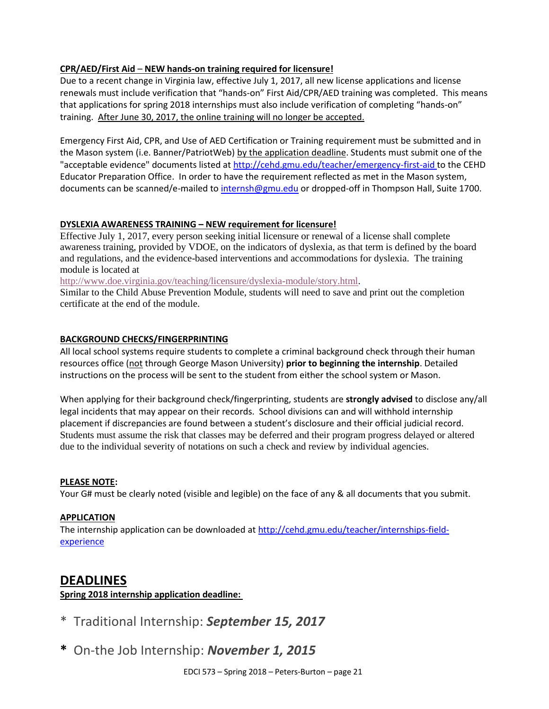### **CPR/AED/First Aid** – **NEW hands-on training required for licensure!**

Due to a recent change in Virginia law, effective July 1, 2017, all new license applications and license renewals must include verification that "hands-on" First Aid/CPR/AED training was completed. This means that applications for spring 2018 internships must also include verification of completing "hands-on" training. After June 30, 2017, the online training will no longer be accepted.

Emergency First Aid, CPR, and Use of AED Certification or Training requirement must be submitted and in the Mason system (i.e. Banner/PatriotWeb) by the application deadline. Students must submit one of the "acceptable evidence" documents listed at<http://cehd.gmu.edu/teacher/emergency-first-aid> to the CEHD Educator Preparation Office. In order to have the requirement reflected as met in the Mason system, documents can be scanned/e-mailed to [internsh@gmu.edu](mailto:internsh@gmu.edu) or dropped-off in Thompson Hall, Suite 1700.

#### **DYSLEXIA AWARENESS TRAINING – NEW requirement for licensure!**

Effective July 1, 2017, every person seeking initial licensure or renewal of a license shall complete awareness training, provided by VDOE, on the indicators of dyslexia, as that term is defined by the board and regulations, and the evidence-based interventions and accommodations for dyslexia. The training module is located at

[http://www.doe.virginia.gov/teaching/licensure/dyslexia-module/story.html.](http://www.doe.virginia.gov/teaching/licensure/dyslexia-module/story.html)

Similar to the Child Abuse Prevention Module, students will need to save and print out the completion certificate at the end of the module.

#### **BACKGROUND CHECKS/FINGERPRINTING**

All local school systems require students to complete a criminal background check through their human resources office (not through George Mason University) **prior to beginning the internship**. Detailed instructions on the process will be sent to the student from either the school system or Mason.

When applying for their background check/fingerprinting, students are **strongly advised** to disclose any/all legal incidents that may appear on their records. School divisions can and will withhold internship placement if discrepancies are found between a student's disclosure and their official judicial record. Students must assume the risk that classes may be deferred and their program progress delayed or altered due to the individual severity of notations on such a check and review by individual agencies.

#### **PLEASE NOTE:**

Your G# must be clearly noted (visible and legible) on the face of any & all documents that you submit.

#### **APPLICATION**

The internship application can be downloaded at [http://cehd.gmu.edu/teacher/internships-field](http://cehd.gmu.edu/teacher/internships-field-experience)[experience](http://cehd.gmu.edu/teacher/internships-field-experience)

# **DEADLINES**

### **Spring 2018 internship application deadline:**

- \* Traditional Internship: *September 15, 2017*
- **\*** On-the Job Internship: *November 1, 2015*